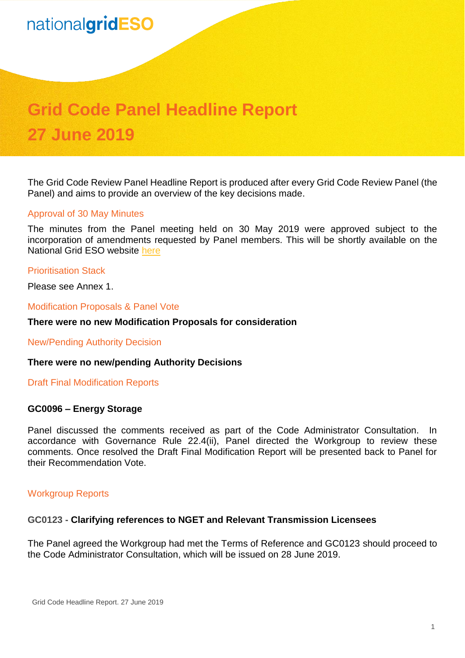# nationalgridESO

# **Grid Code Panel Headline Report 27 June 2019**

The Grid Code Review Panel Headline Report is produced after every Grid Code Review Panel (the Panel) and aims to provide an overview of the key decisions made.

#### Approval of 30 May Minutes

The minutes from the Panel meeting held on 30 May 2019 were approved subject to the incorporation of amendments requested by Panel members. This will be shortly available on the National Grid ESO website [here](https://www.nationalgrideso.com/codes/grid-code/meetings/grid-code-panel-30-may-2019)

#### Prioritisation Stack

Please see Annex 1.

#### Modification Proposals & Panel Vote

#### **There were no new Modification Proposals for consideration**

New/Pending Authority Decision

#### **There were no new/pending Authority Decisions**

Draft Final Modification Reports

#### **GC0096 – Energy Storage**

Panel discussed the comments received as part of the Code Administrator Consultation. In accordance with Governance Rule 22.4(ii), Panel directed the Workgroup to review these comments. Once resolved the Draft Final Modification Report will be presented back to Panel for their Recommendation Vote.

#### Workgroup Reports

#### **GC0123 - Clarifying references to NGET and Relevant Transmission Licensees**

The Panel agreed the Workgroup had met the Terms of Reference and GC0123 should proceed to the Code Administrator Consultation, which will be issued on 28 June 2019.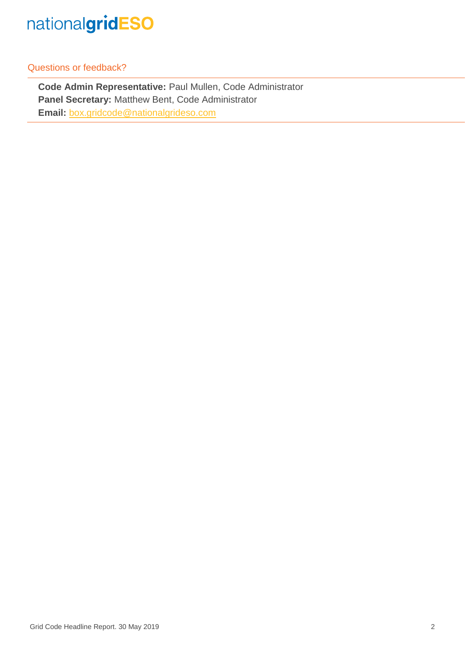

Questions or feedback?

**Code Admin Representative:** Paul Mullen, Code Administrator **Panel Secretary:** Matthew Bent, Code Administrator **Email:** [box.gridcode@nationalgrideso.com](mailto:box.gridcode@nationalgrideso.com)